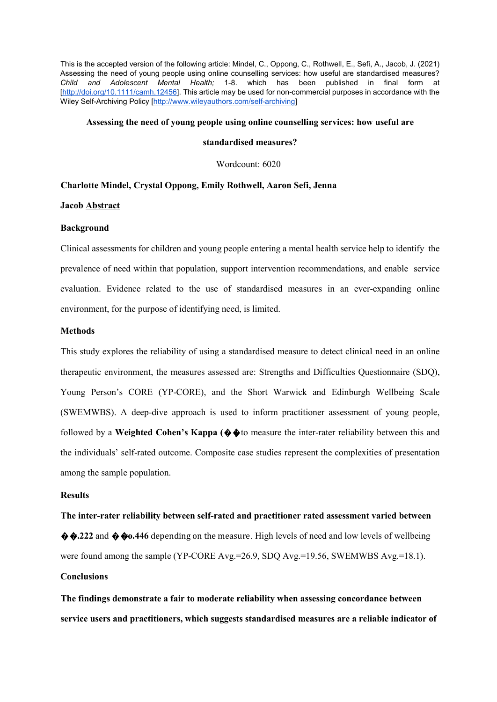This is the accepted version of the following article: Mindel, C., Oppong, C., Rothwell, E., Sefi, A., Jacob, J. (2021) Assessing the need of young people using online counselling services: how useful are standardised measures? *Child and Adolescent Mental Health;* 1-8. which has been published in final form at [http://doi.org/10.1111/camh.12456]. This article may be used for non-commercial purposes in accordance with the Wiley Self-Archiving Policy [http://www.wileyauthors.com/self-archiving]

# **Assessing the need of young people using online counselling services: how useful are**

# **standardised measures?**

Wordcount: 6020

# **Charlotte Mindel, Crystal Oppong, Emily Rothwell, Aaron Sefi, Jenna**

### **Jacob Abstract**

### **Background**

Clinical assessments for children and young people entering a mental health service help to identify the prevalence of need within that population, support intervention recommendations, and enable service evaluation. Evidence related to the use of standardised measures in an ever-expanding online environment, for the purpose of identifying need, is limited.

# **Methods**

This study explores the reliability of using a standardised measure to detect clinical need in an online therapeutic environment, the measures assessed are: Strengths and Difficulties Questionnaire (SDQ), Young Person's CORE (YP-CORE), and the Short Warwick and Edinburgh Wellbeing Scale (SWEMWBS). A deep-dive approach is used to inform practitioner assessment of young people, followed by a **Weighted Cohen's Kappa (**��**)** to measure the inter-rater reliability between this and the individuals' self-rated outcome. Composite case studies represent the complexities of presentation among the sample population.

# **Results**

**The inter-rater reliability between self-rated and practitioner rated assessment varied between**   $\hat{\varphi}$   $\hat{\varphi}$ .222 and  $\hat{\varphi}$   $\hat{\varphi}$   $\hat{\varphi}$  a.446 depending on the measure. High levels of need and low levels of wellbeing were found among the sample (YP-CORE Avg.=26.9, SDQ Avg.=19.56, SWEMWBS Avg.=18.1). **Conclusions** 

**The findings demonstrate a fair to moderate reliability when assessing concordance between service users and practitioners, which suggests standardised measures are a reliable indicator of**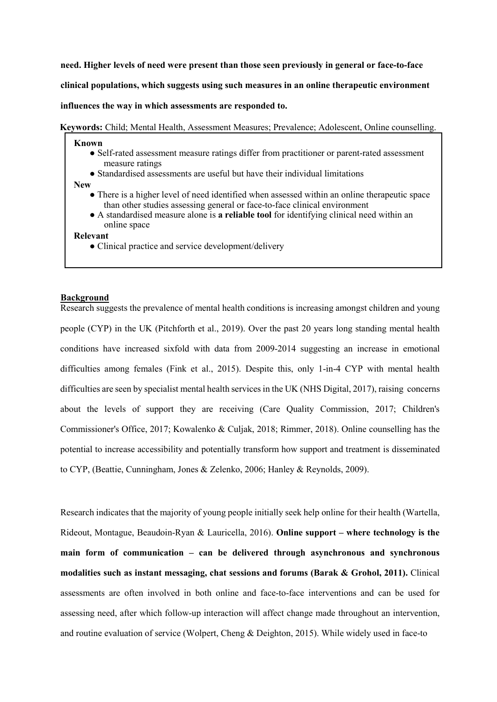**need. Higher levels of need were present than those seen previously in general or face-to-face clinical populations, which suggests using such measures in an online therapeutic environment influences the way in which assessments are responded to.** 

**Keywords:** Child; Mental Health, Assessment Measures; Prevalence; Adolescent, Online counselling.

# **Known**

- Self-rated assessment measure ratings differ from practitioner or parent-rated assessment measure ratings
- Standardised assessments are useful but have their individual limitations

**New** 

- There is a higher level of need identified when assessed within an online therapeutic space than other studies assessing general or face-to-face clinical environment
- A standardised measure alone is **a reliable tool** for identifying clinical need within an online space

#### **Relevant**

• Clinical practice and service development/delivery

# **Background**

Research suggests the prevalence of mental health conditions is increasing amongst children and young people (CYP) in the UK (Pitchforth et al., 2019). Over the past 20 years long standing mental health conditions have increased sixfold with data from 2009-2014 suggesting an increase in emotional difficulties among females (Fink et al., 2015). Despite this, only 1-in-4 CYP with mental health difficulties are seen by specialist mental health services in the UK (NHS Digital, 2017), raising concerns about the levels of support they are receiving (Care Quality Commission, 2017; Children's Commissioner's Office, 2017; Kowalenko & Culjak, 2018; Rimmer, 2018). Online counselling has the potential to increase accessibility and potentially transform how support and treatment is disseminated to CYP, (Beattie, Cunningham, Jones & Zelenko, 2006; Hanley & Reynolds, 2009).

Research indicates that the majority of young people initially seek help online for their health (Wartella, Rideout, Montague, Beaudoin-Ryan & Lauricella, 2016). **Online support – where technology is the main form of communication – can be delivered through asynchronous and synchronous modalities such as instant messaging, chat sessions and forums (Barak & Grohol, 2011).** Clinical assessments are often involved in both online and face-to-face interventions and can be used for assessing need, after which follow-up interaction will affect change made throughout an intervention, and routine evaluation of service (Wolpert, Cheng & Deighton, 2015). While widely used in face-to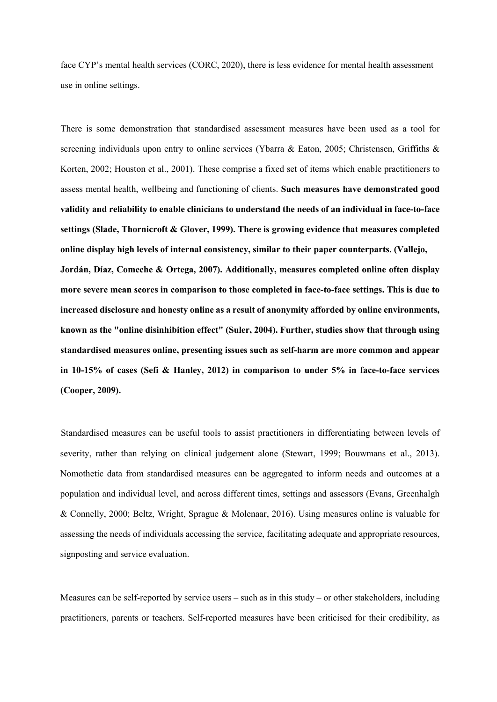face CYP's mental health services (CORC, 2020), there is less evidence for mental health assessment use in online settings.

There is some demonstration that standardised assessment measures have been used as a tool for screening individuals upon entry to online services (Ybarra & Eaton, 2005; Christensen, Griffiths & Korten, 2002; Houston et al., 2001). These comprise a fixed set of items which enable practitioners to assess mental health, wellbeing and functioning of clients. **Such measures have demonstrated good validity and reliability to enable clinicians to understand the needs of an individual in face-to-face settings (Slade, Thornicroft & Glover, 1999). There is growing evidence that measures completed online display high levels of internal consistency, similar to their paper counterparts. (Vallejo, Jordán, Díaz, Comeche & Ortega, 2007). Additionally, measures completed online often display more severe mean scores in comparison to those completed in face-to-face settings. This is due to increased disclosure and honesty online as a result of anonymity afforded by online environments, known as the "online disinhibition effect" (Suler, 2004). Further, studies show that through using standardised measures online, presenting issues such as self-harm are more common and appear in 10-15% of cases (Sefi & Hanley, 2012) in comparison to under 5% in face-to-face services (Cooper, 2009).** 

Standardised measures can be useful tools to assist practitioners in differentiating between levels of severity, rather than relying on clinical judgement alone (Stewart, 1999; Bouwmans et al., 2013). Nomothetic data from standardised measures can be aggregated to inform needs and outcomes at a population and individual level, and across different times, settings and assessors (Evans, Greenhalgh & Connelly, 2000; Beltz, Wright, Sprague & Molenaar, 2016). Using measures online is valuable for assessing the needs of individuals accessing the service, facilitating adequate and appropriate resources, signposting and service evaluation.

Measures can be self-reported by service users – such as in this study – or other stakeholders, including practitioners, parents or teachers. Self-reported measures have been criticised for their credibility, as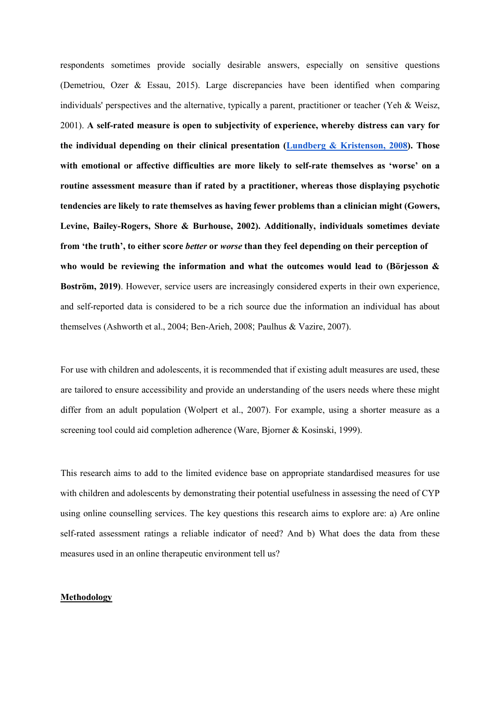respondents sometimes provide socially desirable answers, especially on sensitive questions (Demetriou, Ozer & Essau, 2015). Large discrepancies have been identified when comparing individuals' perspectives and the alternative, typically a parent, practitioner or teacher (Yeh & Weisz, 2001). **A self-rated measure is open to subjectivity of experience, whereby distress can vary for the individual depending on their clinical presentation (Lundberg & Kristenson, 2008). Those with emotional or affective difficulties are more likely to self-rate themselves as 'worse' on a routine assessment measure than if rated by a practitioner, whereas those displaying psychotic tendencies are likely to rate themselves as having fewer problems than a clinician might (Gowers, Levine, Bailey-Rogers, Shore & Burhouse, 2002). Additionally, individuals sometimes deviate from 'the truth', to either score** *better* **or** *worse* **than they feel depending on their perception of who would be reviewing the information and what the outcomes would lead to (Börjesson & Boström, 2019)**. However, service users are increasingly considered experts in their own experience, and self-reported data is considered to be a rich source due the information an individual has about themselves (Ashworth et al., 2004; Ben-Arieh, 2008; Paulhus & Vazire, 2007).

For use with children and adolescents, it is recommended that if existing adult measures are used, these are tailored to ensure accessibility and provide an understanding of the users needs where these might differ from an adult population (Wolpert et al., 2007). For example, using a shorter measure as a screening tool could aid completion adherence (Ware, Bjorner & Kosinski, 1999).

This research aims to add to the limited evidence base on appropriate standardised measures for use with children and adolescents by demonstrating their potential usefulness in assessing the need of CYP using online counselling services. The key questions this research aims to explore are: a) Are online self-rated assessment ratings a reliable indicator of need? And b) What does the data from these measures used in an online therapeutic environment tell us?

#### **Methodology**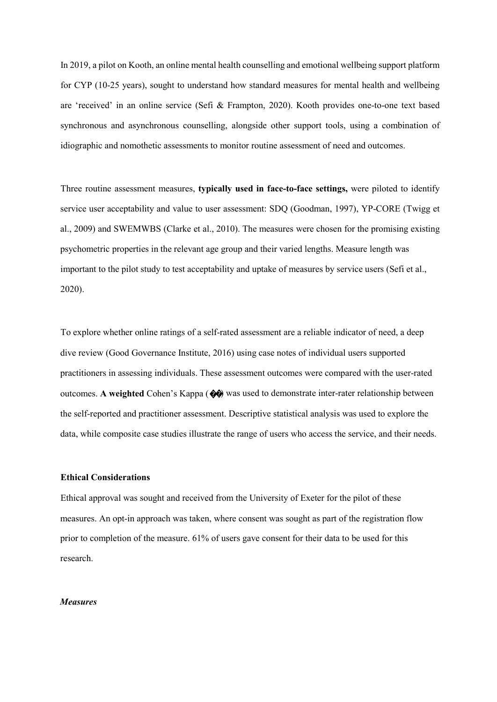In 2019, a pilot on Kooth, an online mental health counselling and emotional wellbeing support platform for CYP (10-25 years), sought to understand how standard measures for mental health and wellbeing are 'received' in an online service (Sefi & Frampton, 2020). Kooth provides one-to-one text based synchronous and asynchronous counselling, alongside other support tools, using a combination of idiographic and nomothetic assessments to monitor routine assessment of need and outcomes.

Three routine assessment measures, **typically used in face-to-face settings,** were piloted to identify service user acceptability and value to user assessment: SDQ (Goodman, 1997), YP-CORE (Twigg et al., 2009) and SWEMWBS (Clarke et al., 2010). The measures were chosen for the promising existing psychometric properties in the relevant age group and their varied lengths. Measure length was important to the pilot study to test acceptability and uptake of measures by service users (Sefi et al., 2020).

To explore whether online ratings of a self-rated assessment are a reliable indicator of need, a deep dive review (Good Governance Institute, 2016) using case notes of individual users supported practitioners in assessing individuals. These assessment outcomes were compared with the user-rated outcomes. **A weighted** Cohen's Kappa (��) was used to demonstrate inter-rater relationship between the self-reported and practitioner assessment. Descriptive statistical analysis was used to explore the data, while composite case studies illustrate the range of users who access the service, and their needs.

#### **Ethical Considerations**

Ethical approval was sought and received from the University of Exeter for the pilot of these measures. An opt-in approach was taken, where consent was sought as part of the registration flow prior to completion of the measure. 61% of users gave consent for their data to be used for this research.

# *Measures*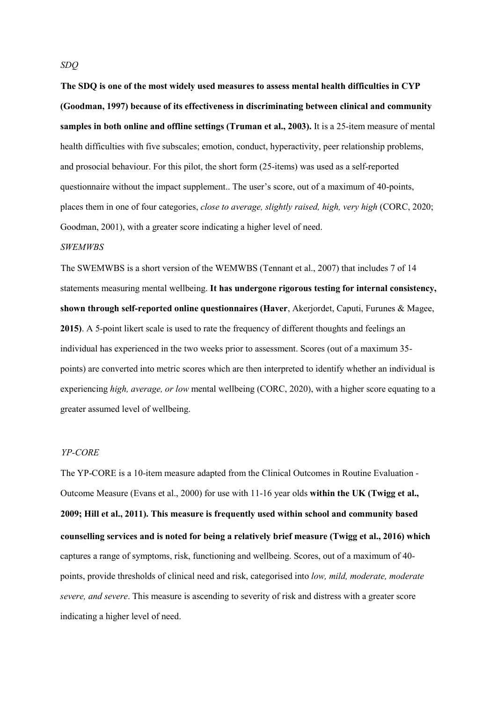**The SDQ is one of the most widely used measures to assess mental health difficulties in CYP (Goodman, 1997) because of its effectiveness in discriminating between clinical and community samples in both online and offline settings (Truman et al., 2003).** It is a 25-item measure of mental health difficulties with five subscales; emotion, conduct, hyperactivity, peer relationship problems, and prosocial behaviour. For this pilot, the short form (25-items) was used as a self-reported questionnaire without the impact supplement.. The user's score, out of a maximum of 40-points, places them in one of four categories, *close to average, slightly raised, high, very high* (CORC, 2020; Goodman, 2001), with a greater score indicating a higher level of need.

### *SWEMWBS*

The SWEMWBS is a short version of the WEMWBS (Tennant et al., 2007) that includes 7 of 14 statements measuring mental wellbeing. **It has undergone rigorous testing for internal consistency, shown through self-reported online questionnaires (Haver**, Akerjordet, Caputi, Furunes & Magee, **2015)**. A 5-point likert scale is used to rate the frequency of different thoughts and feelings an individual has experienced in the two weeks prior to assessment. Scores (out of a maximum 35 points) are converted into metric scores which are then interpreted to identify whether an individual is experiencing *high, average, or low* mental wellbeing (CORC, 2020), with a higher score equating to a greater assumed level of wellbeing.

#### *YP-CORE*

The YP-CORE is a 10-item measure adapted from the Clinical Outcomes in Routine Evaluation - Outcome Measure (Evans et al., 2000) for use with 11-16 year olds **within the UK (Twigg et al., 2009; Hill et al., 2011). This measure is frequently used within school and community based counselling services and is noted for being a relatively brief measure (Twigg et al., 2016) which**  captures a range of symptoms, risk, functioning and wellbeing. Scores, out of a maximum of 40 points, provide thresholds of clinical need and risk, categorised into *low, mild, moderate, moderate severe, and severe*. This measure is ascending to severity of risk and distress with a greater score indicating a higher level of need.

*SDQ*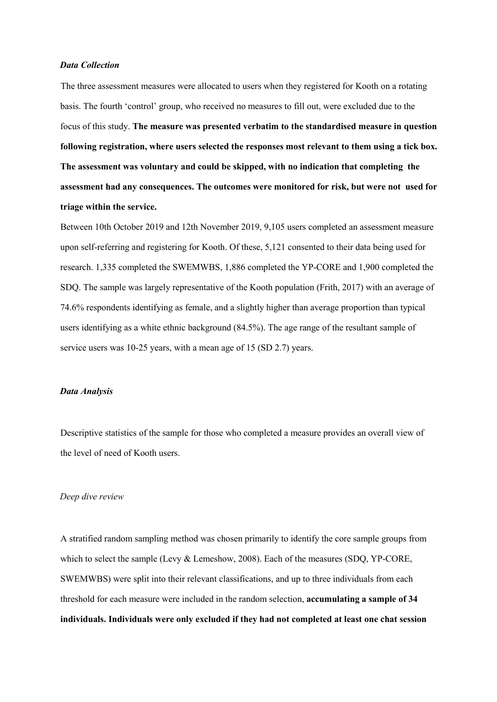### *Data Collection*

The three assessment measures were allocated to users when they registered for Kooth on a rotating basis. The fourth 'control' group, who received no measures to fill out, were excluded due to the focus of this study. **The measure was presented verbatim to the standardised measure in question following registration, where users selected the responses most relevant to them using a tick box. The assessment was voluntary and could be skipped, with no indication that completing the assessment had any consequences. The outcomes were monitored for risk, but were not used for triage within the service.**

Between 10th October 2019 and 12th November 2019, 9,105 users completed an assessment measure upon self-referring and registering for Kooth. Of these, 5,121 consented to their data being used for research. 1,335 completed the SWEMWBS, 1,886 completed the YP-CORE and 1,900 completed the SDQ. The sample was largely representative of the Kooth population (Frith, 2017) with an average of 74.6% respondents identifying as female, and a slightly higher than average proportion than typical users identifying as a white ethnic background (84.5%). The age range of the resultant sample of service users was 10-25 years, with a mean age of 15 (SD 2.7) years.

# *Data Analysis*

Descriptive statistics of the sample for those who completed a measure provides an overall view of the level of need of Kooth users.

#### *Deep dive review*

A stratified random sampling method was chosen primarily to identify the core sample groups from which to select the sample (Levy & Lemeshow, 2008). Each of the measures (SDQ, YP-CORE, SWEMWBS) were split into their relevant classifications, and up to three individuals from each threshold for each measure were included in the random selection, **accumulating a sample of 34 individuals. Individuals were only excluded if they had not completed at least one chat session**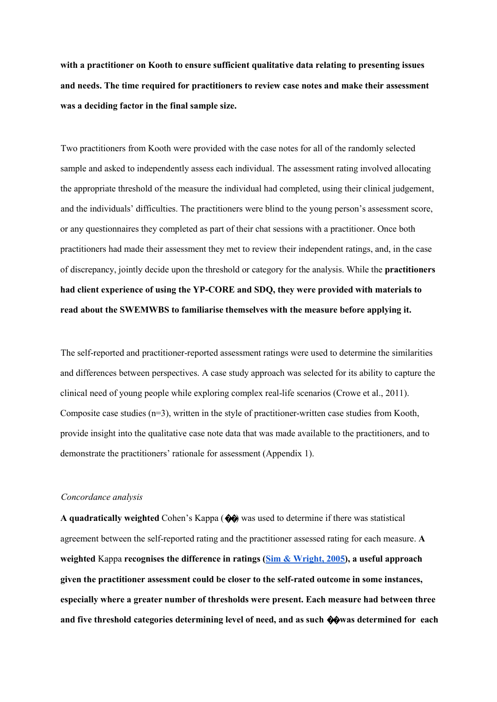**with a practitioner on Kooth to ensure sufficient qualitative data relating to presenting issues and needs. The time required for practitioners to review case notes and make their assessment was a deciding factor in the final sample size.** 

Two practitioners from Kooth were provided with the case notes for all of the randomly selected sample and asked to independently assess each individual. The assessment rating involved allocating the appropriate threshold of the measure the individual had completed, using their clinical judgement, and the individuals' difficulties. The practitioners were blind to the young person's assessment score, or any questionnaires they completed as part of their chat sessions with a practitioner. Once both practitioners had made their assessment they met to review their independent ratings, and, in the case of discrepancy, jointly decide upon the threshold or category for the analysis. While the **practitioners had client experience of using the YP-CORE and SDQ, they were provided with materials to read about the SWEMWBS to familiarise themselves with the measure before applying it.** 

The self-reported and practitioner-reported assessment ratings were used to determine the similarities and differences between perspectives. A case study approach was selected for its ability to capture the clinical need of young people while exploring complex real-life scenarios (Crowe et al., 2011). Composite case studies  $(n=3)$ , written in the style of practitioner-written case studies from Kooth, provide insight into the qualitative case note data that was made available to the practitioners, and to demonstrate the practitioners' rationale for assessment (Appendix 1).

#### *Concordance analysis*

**A quadratically weighted** Cohen's Kappa (��) was used to determine if there was statistical agreement between the self-reported rating and the practitioner assessed rating for each measure. **A weighted** Kappa **recognises the difference in ratings (Sim & Wright, 2005), a useful approach given the practitioner assessment could be closer to the self-rated outcome in some instances, especially where a greater number of thresholds were present. Each measure had between three and five threshold categories determining level of need, and as such** ��**was determined for each**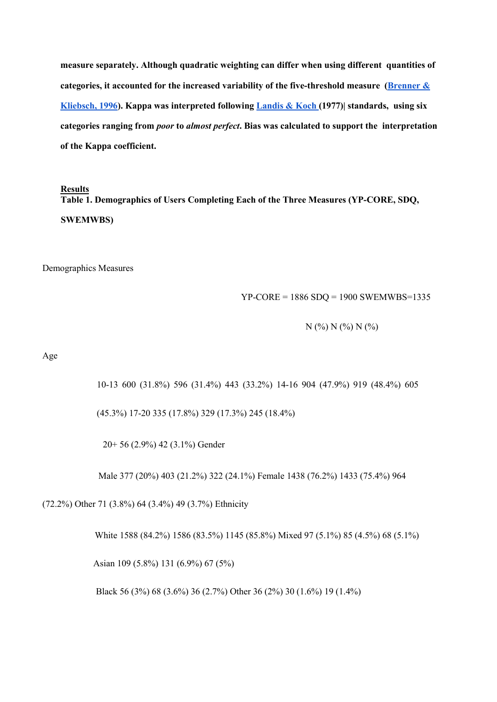**measure separately. Although quadratic weighting can differ when using different quantities of categories, it accounted for the increased variability of the five-threshold measure (Brenner & Kliebsch, 1996). Kappa was interpreted following Landis & Koch (1977)| standards, using six categories ranging from** *poor* **to** *almost perfect***. Bias was calculated to support the interpretation of the Kappa coefficient.** 

#### **Results**

**Table 1. Demographics of Users Completing Each of the Three Measures (YP-CORE, SDQ, SWEMWBS)** 

Demographics Measures

YP-CORE = 1886 SDQ = 1900 SWEMWBS=1335

N (%) N (%) N (%)

Age

10-13 600 (31.8%) 596 (31.4%) 443 (33.2%) 14-16 904 (47.9%) 919 (48.4%) 605

(45.3%) 17-20 335 (17.8%) 329 (17.3%) 245 (18.4%)

20+ 56 (2.9%) 42 (3.1%) Gender

Male 377 (20%) 403 (21.2%) 322 (24.1%) Female 1438 (76.2%) 1433 (75.4%) 964

(72.2%) Other 71 (3.8%) 64 (3.4%) 49 (3.7%) Ethnicity

White 1588 (84.2%) 1586 (83.5%) 1145 (85.8%) Mixed 97 (5.1%) 85 (4.5%) 68 (5.1%)

Asian 109 (5.8%) 131 (6.9%) 67 (5%)

Black 56 (3%) 68 (3.6%) 36 (2.7%) Other 36 (2%) 30 (1.6%) 19 (1.4%)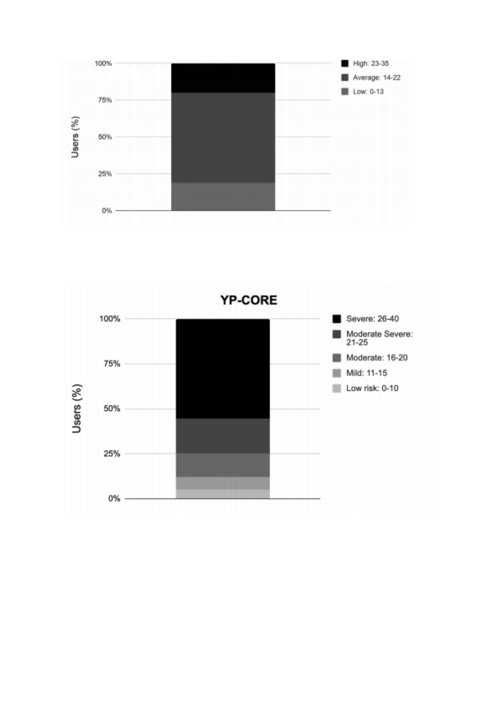

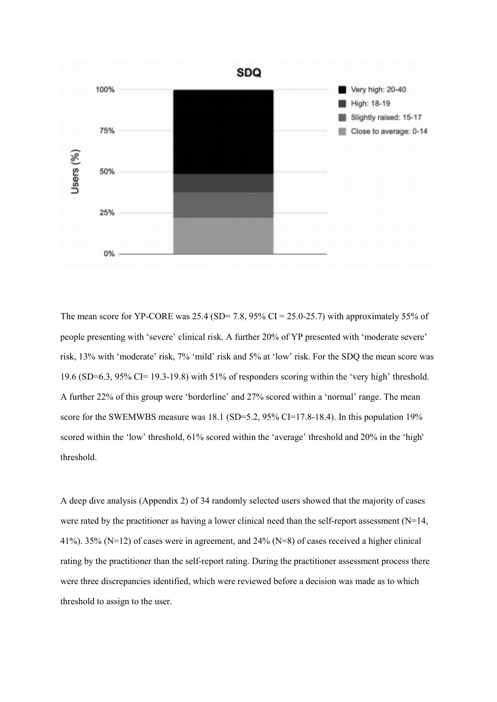

The mean score for YP-CORE was  $25.4$  (SD= 7.8, 95% CI = 25.0-25.7) with approximately 55% of people presenting with 'severe' clinical risk. A further 20% of YP presented with 'moderate severe' risk, 13% with 'moderate' risk, 7% 'mild' risk and 5% at 'low' risk. For the SDQ the mean score was 19.6 (SD=6.3, 95% CI= 19.3-19.8) with 51% of responders scoring within the 'very high' threshold. A further 22% of this group were 'borderline' and 27% scored within a 'normal' range. The mean score for the SWEMWBS measure was 18.1 (SD=5.2, 95% CI=17.8-18.4). In this population 19% scored within the 'low' threshold, 61% scored within the 'average' threshold and 20% in the 'high' threshold.

A deep dive analysis (Appendix 2) of 34 randomly selected users showed that the majority of cases were rated by the practitioner as having a lower clinical need than the self-report assessment (N=14, 41%). 35% (N=12) of cases were in agreement, and 24% (N=8) of cases received a higher clinical rating by the practitioner than the self-report rating. During the practitioner assessment process there were three discrepancies identified, which were reviewed before a decision was made as to which threshold to assign to the user.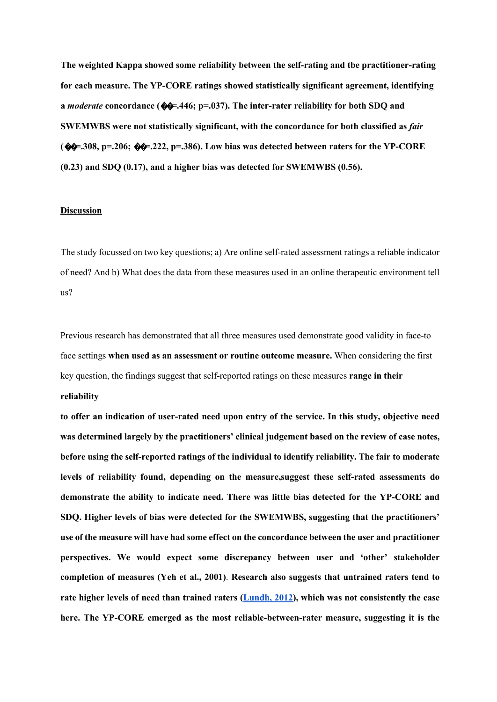**The weighted Kappa showed some reliability between the self-rating and tbe practitioner-rating for each measure. The YP-CORE ratings showed statistically significant agreement, identifying a** *moderate* **concordance (**��**=.446; p=.037). The inter-rater reliability for both SDQ and SWEMWBS were not statistically significant, with the concordance for both classified as** *fair*  **(**��**=.308, p=.206;** ��**=.222, p=.386). Low bias was detected between raters for the YP-CORE (0.23) and SDQ (0.17), and a higher bias was detected for SWEMWBS (0.56).** 

## **Discussion**

The study focussed on two key questions; a) Are online self-rated assessment ratings a reliable indicator of need? And b) What does the data from these measures used in an online therapeutic environment tell us?

Previous research has demonstrated that all three measures used demonstrate good validity in face-to face settings **when used as an assessment or routine outcome measure.** When considering the first key question, the findings suggest that self-reported ratings on these measures **range in their** 

# **reliability**

**to offer an indication of user-rated need upon entry of the service. In this study, objective need was determined largely by the practitioners' clinical judgement based on the review of case notes, before using the self-reported ratings of the individual to identify reliability. The fair to moderate levels of reliability found, depending on the measure,suggest these self-rated assessments do demonstrate the ability to indicate need. There was little bias detected for the YP-CORE and SDQ. Higher levels of bias were detected for the SWEMWBS, suggesting that the practitioners' use of the measure will have had some effect on the concordance between the user and practitioner perspectives. We would expect some discrepancy between user and 'other' stakeholder completion of measures (Yeh et al., 2001)**. **Research also suggests that untrained raters tend to rate higher levels of need than trained raters (Lundh, 2012), which was not consistently the case here. The YP-CORE emerged as the most reliable-between-rater measure, suggesting it is the**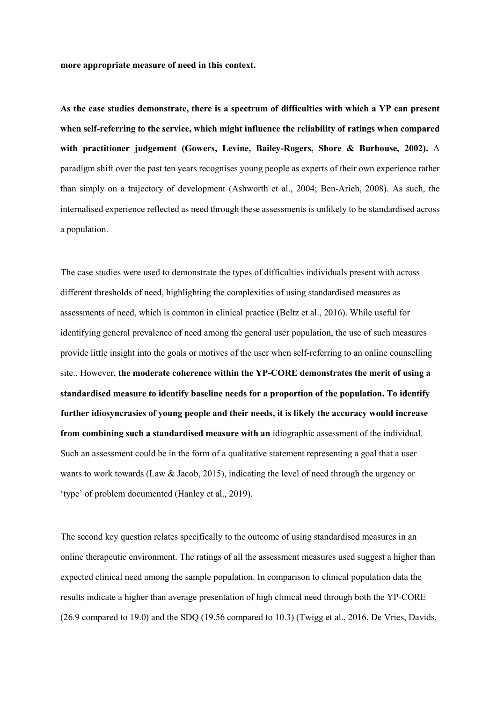**more appropriate measure of need in this context.** 

**As the case studies demonstrate, there is a spectrum of difficulties with which a YP can present when self-referring to the service, which might influence the reliability of ratings when compared with practitioner judgement (Gowers, Levine, Bailey-Rogers, Shore & Burhouse, 2002).** A paradigm shift over the past ten years recognises young people as experts of their own experience rather than simply on a trajectory of development (Ashworth et al., 2004; Ben-Arieh, 2008). As such, the internalised experience reflected as need through these assessments is unlikely to be standardised across a population.

The case studies were used to demonstrate the types of difficulties individuals present with across different thresholds of need, highlighting the complexities of using standardised measures as assessments of need, which is common in clinical practice (Beltz et al., 2016). While useful for identifying general prevalence of need among the general user population, the use of such measures provide little insight into the goals or motives of the user when self-referring to an online counselling site.. However, **the moderate coherence within the YP-CORE demonstrates the merit of using a standardised measure to identify baseline needs for a proportion of the population. To identify further idiosyncrasies of young people and their needs, it is likely the accuracy would increase from combining such a standardised measure with an** idiographic assessment of the individual. Such an assessment could be in the form of a qualitative statement representing a goal that a user wants to work towards (Law & Jacob, 2015), indicating the level of need through the urgency or 'type' of problem documented (Hanley et al., 2019).

The second key question relates specifically to the outcome of using standardised measures in an online therapeutic environment. The ratings of all the assessment measures used suggest a higher than expected clinical need among the sample population. In comparison to clinical population data the results indicate a higher than average presentation of high clinical need through both the YP-CORE (26.9 compared to 19.0) and the SDQ (19.56 compared to 10.3) (Twigg et al., 2016, De Vries, Davids,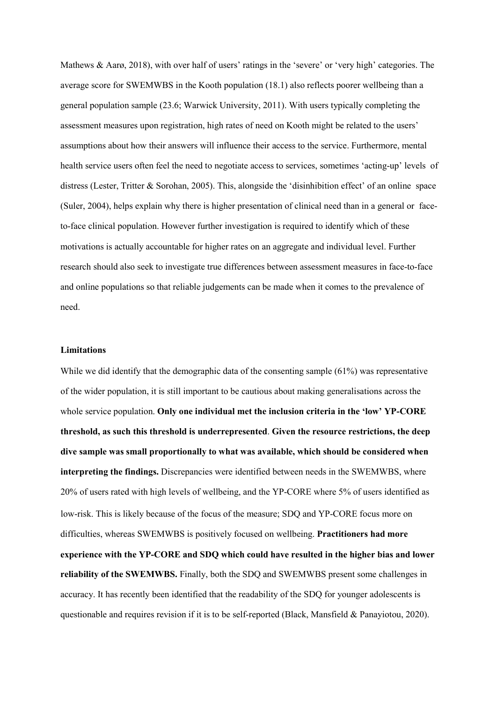Mathews & Aarø, 2018), with over half of users' ratings in the 'severe' or 'very high' categories. The average score for SWEMWBS in the Kooth population (18.1) also reflects poorer wellbeing than a general population sample (23.6; Warwick University, 2011). With users typically completing the assessment measures upon registration, high rates of need on Kooth might be related to the users' assumptions about how their answers will influence their access to the service. Furthermore, mental health service users often feel the need to negotiate access to services, sometimes 'acting-up' levels of distress (Lester, Tritter & Sorohan, 2005). This, alongside the 'disinhibition effect' of an online space (Suler, 2004), helps explain why there is higher presentation of clinical need than in a general or faceto-face clinical population. However further investigation is required to identify which of these motivations is actually accountable for higher rates on an aggregate and individual level. Further research should also seek to investigate true differences between assessment measures in face-to-face and online populations so that reliable judgements can be made when it comes to the prevalence of need.

### **Limitations**

While we did identify that the demographic data of the consenting sample (61%) was representative of the wider population, it is still important to be cautious about making generalisations across the whole service population. **Only one individual met the inclusion criteria in the 'low' YP-CORE threshold, as such this threshold is underrepresented**. **Given the resource restrictions, the deep dive sample was small proportionally to what was available, which should be considered when interpreting the findings.** Discrepancies were identified between needs in the SWEMWBS, where 20% of users rated with high levels of wellbeing, and the YP-CORE where 5% of users identified as low-risk. This is likely because of the focus of the measure; SDQ and YP-CORE focus more on difficulties, whereas SWEMWBS is positively focused on wellbeing. **Practitioners had more experience with the YP-CORE and SDQ which could have resulted in the higher bias and lower reliability of the SWEMWBS.** Finally, both the SDQ and SWEMWBS present some challenges in accuracy. It has recently been identified that the readability of the SDQ for younger adolescents is questionable and requires revision if it is to be self-reported (Black, Mansfield & Panayiotou, 2020).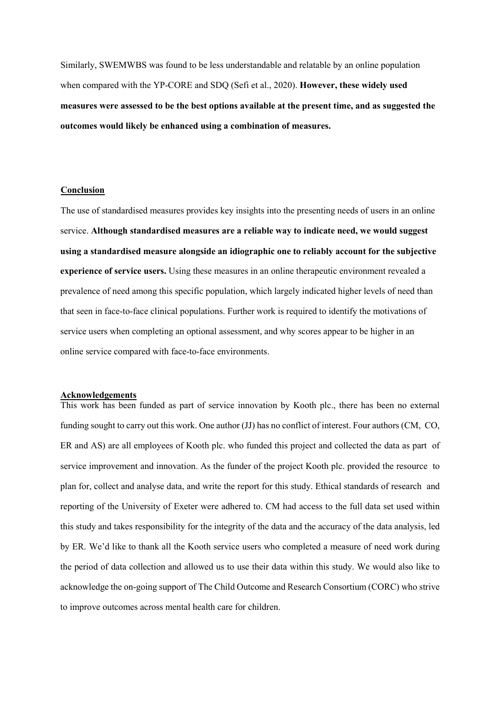Similarly, SWEMWBS was found to be less understandable and relatable by an online population when compared with the YP-CORE and SDQ (Sefi et al., 2020). **However, these widely used measures were assessed to be the best options available at the present time, and as suggested the outcomes would likely be enhanced using a combination of measures.** 

### **Conclusion**

The use of standardised measures provides key insights into the presenting needs of users in an online service. **Although standardised measures are a reliable way to indicate need, we would suggest using a standardised measure alongside an idiographic one to reliably account for the subjective experience of service users.** Using these measures in an online therapeutic environment revealed a prevalence of need among this specific population, which largely indicated higher levels of need than that seen in face-to-face clinical populations. Further work is required to identify the motivations of service users when completing an optional assessment, and why scores appear to be higher in an online service compared with face-to-face environments.

#### **Acknowledgements**

This work has been funded as part of service innovation by Kooth plc., there has been no external funding sought to carry out this work. One author (JJ) has no conflict of interest. Four authors (CM, CO, ER and AS) are all employees of Kooth plc. who funded this project and collected the data as part of service improvement and innovation. As the funder of the project Kooth plc. provided the resource to plan for, collect and analyse data, and write the report for this study. Ethical standards of research and reporting of the University of Exeter were adhered to. CM had access to the full data set used within this study and takes responsibility for the integrity of the data and the accuracy of the data analysis, led by ER. We'd like to thank all the Kooth service users who completed a measure of need work during the period of data collection and allowed us to use their data within this study. We would also like to acknowledge the on-going support of The Child Outcome and Research Consortium (CORC) who strive to improve outcomes across mental health care for children.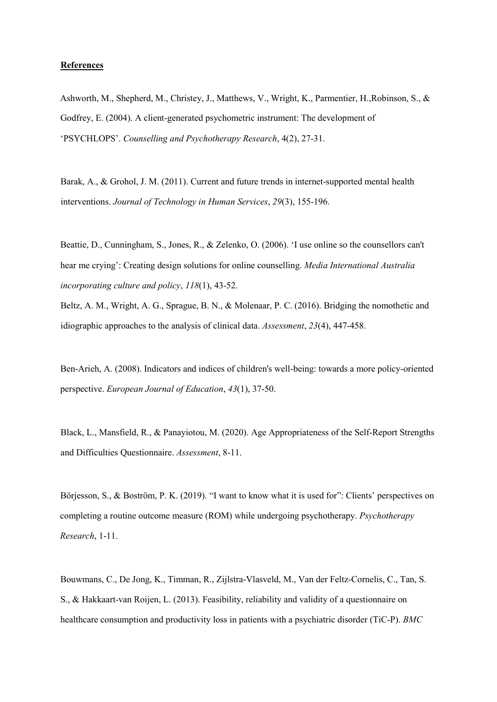### **References**

Ashworth, M., Shepherd, M., Christey, J., Matthews, V., Wright, K., Parmentier, H.,Robinson, S., & Godfrey, E. (2004). A client-generated psychometric instrument: The development of 'PSYCHLOPS'. *Counselling and Psychotherapy Research*, 4(2), 27-31.

Barak, A., & Grohol, J. M. (2011). Current and future trends in internet-supported mental health interventions. *Journal of Technology in Human Services*, *29*(3), 155-196.

Beattie, D., Cunningham, S., Jones, R., & Zelenko, O. (2006). 'I use online so the counsellors can't hear me crying': Creating design solutions for online counselling. *Media International Australia incorporating culture and policy*, *118*(1), 43-52.

Beltz, A. M., Wright, A. G., Sprague, B. N., & Molenaar, P. C. (2016). Bridging the nomothetic and idiographic approaches to the analysis of clinical data. *Assessment*, *23*(4), 447-458.

Ben-Arieh, A. (2008). Indicators and indices of children's well-being: towards a more policy-oriented perspective. *European Journal of Education*, *43*(1), 37-50.

Black, L., Mansfield, R., & Panayiotou, M. (2020). Age Appropriateness of the Self-Report Strengths and Difficulties Questionnaire. *Assessment*, 8-11.

Börjesson, S., & Boström, P. K. (2019). "I want to know what it is used for": Clients' perspectives on completing a routine outcome measure (ROM) while undergoing psychotherapy. *Psychotherapy Research*, 1-11.

Bouwmans, C., De Jong, K., Timman, R., Zijlstra-Vlasveld, M., Van der Feltz-Cornelis, C., Tan, S. S., & Hakkaart-van Roijen, L. (2013). Feasibility, reliability and validity of a questionnaire on healthcare consumption and productivity loss in patients with a psychiatric disorder (TiC-P). *BMC*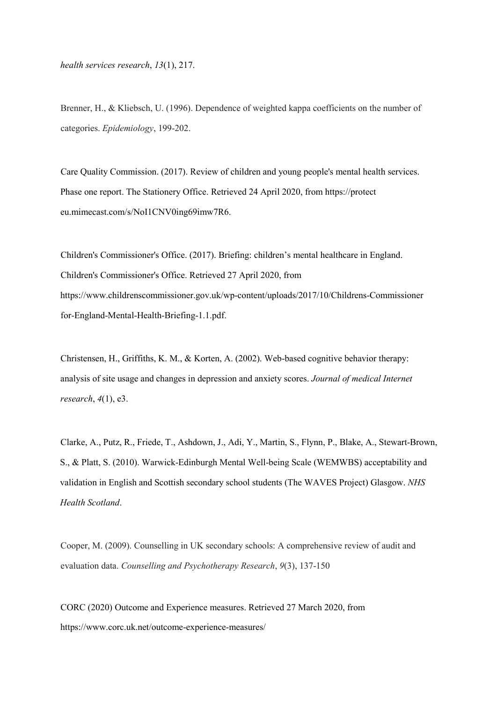*health services research*, *13*(1), 217.

Brenner, H., & Kliebsch, U. (1996). Dependence of weighted kappa coefficients on the number of categories. *Epidemiology*, 199-202.

Care Quality Commission. (2017). Review of children and young people's mental health services. Phase one report. The Stationery Office. Retrieved 24 April 2020, from https://protect eu.mimecast.com/s/NoI1CNV0ing69imw7R6.

Children's Commissioner's Office. (2017). Briefing: children's mental healthcare in England. Children's Commissioner's Office. Retrieved 27 April 2020, from https://www.childrenscommissioner.gov.uk/wp-content/uploads/2017/10/Childrens-Commissioner for-England-Mental-Health-Briefing-1.1.pdf.

Christensen, H., Griffiths, K. M., & Korten, A. (2002). Web-based cognitive behavior therapy: analysis of site usage and changes in depression and anxiety scores. *Journal of medical Internet research*, *4*(1), e3.

Clarke, A., Putz, R., Friede, T., Ashdown, J., Adi, Y., Martin, S., Flynn, P., Blake, A., Stewart-Brown, S., & Platt, S. (2010). Warwick-Edinburgh Mental Well-being Scale (WEMWBS) acceptability and validation in English and Scottish secondary school students (The WAVES Project) Glasgow. *NHS Health Scotland*.

Cooper, M. (2009). Counselling in UK secondary schools: A comprehensive review of audit and evaluation data. *Counselling and Psychotherapy Research*, *9*(3), 137-150

CORC (2020) Outcome and Experience measures. Retrieved 27 March 2020, from https://www.corc.uk.net/outcome-experience-measures/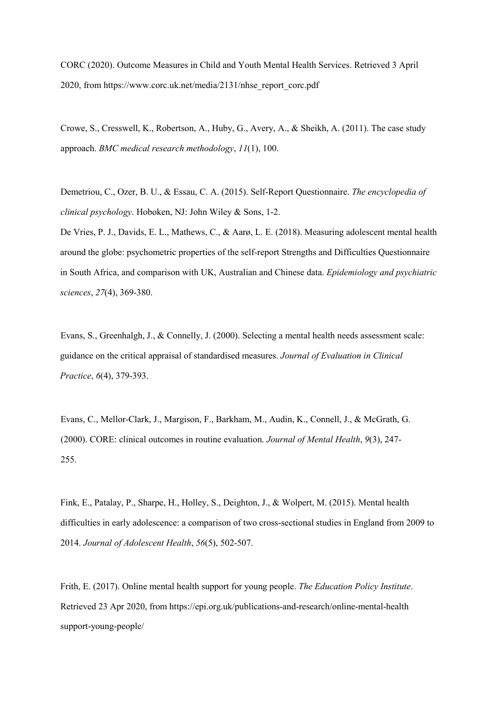CORC (2020). Outcome Measures in Child and Youth Mental Health Services. Retrieved 3 April 2020, from https://www.corc.uk.net/media/2131/nhse\_report\_corc.pdf

Crowe, S., Cresswell, K., Robertson, A., Huby, G., Avery, A., & Sheikh, A. (2011). The case study approach. *BMC medical research methodology*, *11*(1), 100.

Demetriou, C., Ozer, B. U., & Essau, C. A. (2015). Self-Report Questionnaire. *The encyclopedia of clinical psychology*. Hoboken, NJ: John Wiley & Sons, 1-2.

De Vries, P. J., Davids, E. L., Mathews, C., & Aarø, L. E. (2018). Measuring adolescent mental health around the globe: psychometric properties of the self-report Strengths and Difficulties Questionnaire in South Africa, and comparison with UK, Australian and Chinese data. *Epidemiology and psychiatric sciences*, *27*(4), 369-380.

Evans, S., Greenhalgh, J., & Connelly, J. (2000). Selecting a mental health needs assessment scale: guidance on the critical appraisal of standardised measures. *Journal of Evaluation in Clinical Practice*, *6*(4), 379-393.

Evans, C., Mellor-Clark, J., Margison, F., Barkham, M., Audin, K., Connell, J., & McGrath, G. (2000). CORE: clinical outcomes in routine evaluation. *Journal of Mental Health*, *9*(3), 247- 255.

Fink, E., Patalay, P., Sharpe, H., Holley, S., Deighton, J., & Wolpert, M. (2015). Mental health difficulties in early adolescence: a comparison of two cross-sectional studies in England from 2009 to 2014. *Journal of Adolescent Health*, *56*(5), 502-507.

Frith, E. (2017). Online mental health support for young people. *The Education Policy Institute*. Retrieved 23 Apr 2020, from https://epi.org.uk/publications-and-research/online-mental-health support-young-people/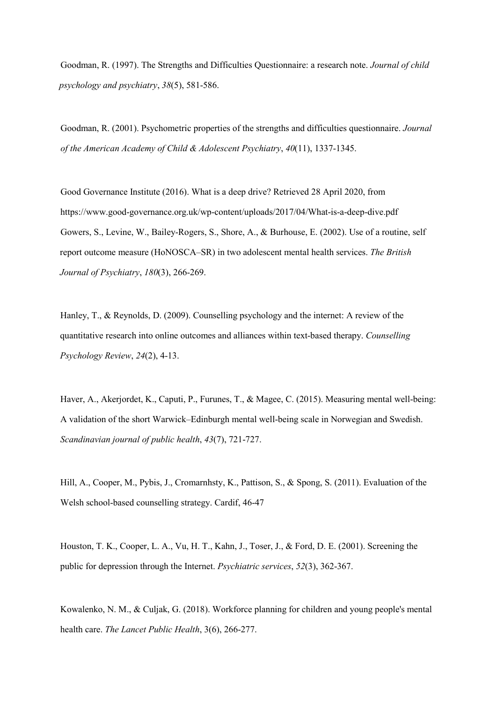Goodman, R. (1997). The Strengths and Difficulties Questionnaire: a research note. *Journal of child psychology and psychiatry*, *38*(5), 581-586.

Goodman, R. (2001). Psychometric properties of the strengths and difficulties questionnaire. *Journal of the American Academy of Child & Adolescent Psychiatry*, *40*(11), 1337-1345.

Good Governance Institute (2016). What is a deep drive? Retrieved 28 April 2020, from https://www.good-governance.org.uk/wp-content/uploads/2017/04/What-is-a-deep-dive.pdf Gowers, S., Levine, W., Bailey-Rogers, S., Shore, A., & Burhouse, E. (2002). Use of a routine, self report outcome measure (HoNOSCA–SR) in two adolescent mental health services. *The British Journal of Psychiatry*, *180*(3), 266-269.

Hanley, T., & Reynolds, D. (2009). Counselling psychology and the internet: A review of the quantitative research into online outcomes and alliances within text-based therapy. *Counselling Psychology Review*, *24*(2), 4-13.

Haver, A., Akerjordet, K., Caputi, P., Furunes, T., & Magee, C. (2015). Measuring mental well-being: A validation of the short Warwick–Edinburgh mental well-being scale in Norwegian and Swedish. *Scandinavian journal of public health*, *43*(7), 721-727.

Hill, A., Cooper, M., Pybis, J., Cromarnhsty, K., Pattison, S., & Spong, S. (2011). Evaluation of the Welsh school-based counselling strategy. Cardif, 46-47

Houston, T. K., Cooper, L. A., Vu, H. T., Kahn, J., Toser, J., & Ford, D. E. (2001). Screening the public for depression through the Internet. *Psychiatric services*, *52*(3), 362-367.

Kowalenko, N. M., & Culjak, G. (2018). Workforce planning for children and young people's mental health care. *The Lancet Public Health*, 3(6), 266-277.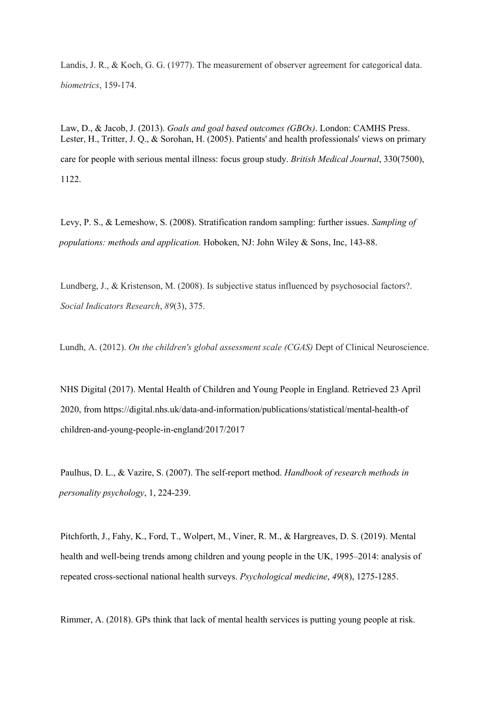Landis, J. R., & Koch, G. G. (1977). The measurement of observer agreement for categorical data. *biometrics*, 159-174.

Law, D., & Jacob, J. (2013). *Goals and goal based outcomes (GBOs)*. London: CAMHS Press. Lester, H., Tritter, J. Q., & Sorohan, H. (2005). Patients' and health professionals' views on primary care for people with serious mental illness: focus group study. *British Medical Journal*, 330(7500), 1122.

Levy, P. S., & Lemeshow, S. (2008). Stratification random sampling: further issues. *Sampling of populations: methods and application.* Hoboken, NJ: John Wiley & Sons, Inc, 143-88.

Lundberg, J., & Kristenson, M. (2008). Is subjective status influenced by psychosocial factors?. *Social Indicators Research*, *89*(3), 375.

Lundh, A. (2012). *On the children's global assessment scale (CGAS)* Dept of Clinical Neuroscience.

NHS Digital (2017). Mental Health of Children and Young People in England. Retrieved 23 April 2020, from https://digital.nhs.uk/data-and-information/publications/statistical/mental-health-of children-and-young-people-in-england/2017/2017

Paulhus, D. L., & Vazire, S. (2007). The self-report method. *Handbook of research methods in personality psychology*, 1, 224-239.

Pitchforth, J., Fahy, K., Ford, T., Wolpert, M., Viner, R. M., & Hargreaves, D. S. (2019). Mental health and well-being trends among children and young people in the UK, 1995–2014: analysis of repeated cross-sectional national health surveys. *Psychological medicine*, *49*(8), 1275-1285.

Rimmer, A. (2018). GPs think that lack of mental health services is putting young people at risk.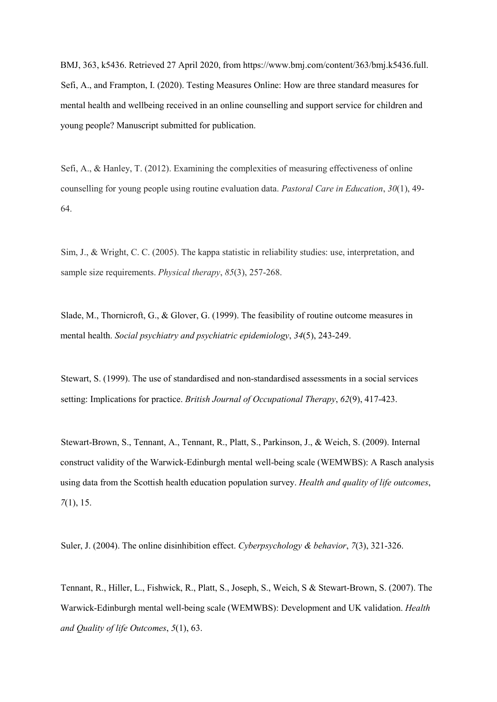BMJ, 363, k5436. Retrieved 27 April 2020, from https://www.bmj.com/content/363/bmj.k5436.full. Sefi, A., and Frampton, I. (2020). Testing Measures Online: How are three standard measures for mental health and wellbeing received in an online counselling and support service for children and young people? Manuscript submitted for publication.

Sefi, A., & Hanley, T. (2012). Examining the complexities of measuring effectiveness of online counselling for young people using routine evaluation data. *Pastoral Care in Education*, *30*(1), 49- 64.

Sim, J., & Wright, C. C. (2005). The kappa statistic in reliability studies: use, interpretation, and sample size requirements. *Physical therapy*, *85*(3), 257-268.

Slade, M., Thornicroft, G., & Glover, G. (1999). The feasibility of routine outcome measures in mental health. *Social psychiatry and psychiatric epidemiology*, *34*(5), 243-249.

Stewart, S. (1999). The use of standardised and non-standardised assessments in a social services setting: Implications for practice. *British Journal of Occupational Therapy*, *62*(9), 417-423.

Stewart-Brown, S., Tennant, A., Tennant, R., Platt, S., Parkinson, J., & Weich, S. (2009). Internal construct validity of the Warwick-Edinburgh mental well-being scale (WEMWBS): A Rasch analysis using data from the Scottish health education population survey. *Health and quality of life outcomes*, *7*(1), 15.

Suler, J. (2004). The online disinhibition effect. *Cyberpsychology & behavior*, *7*(3), 321-326.

Tennant, R., Hiller, L., Fishwick, R., Platt, S., Joseph, S., Weich, S & Stewart-Brown, S. (2007). The Warwick-Edinburgh mental well-being scale (WEMWBS): Development and UK validation. *Health and Quality of life Outcomes*, *5*(1), 63.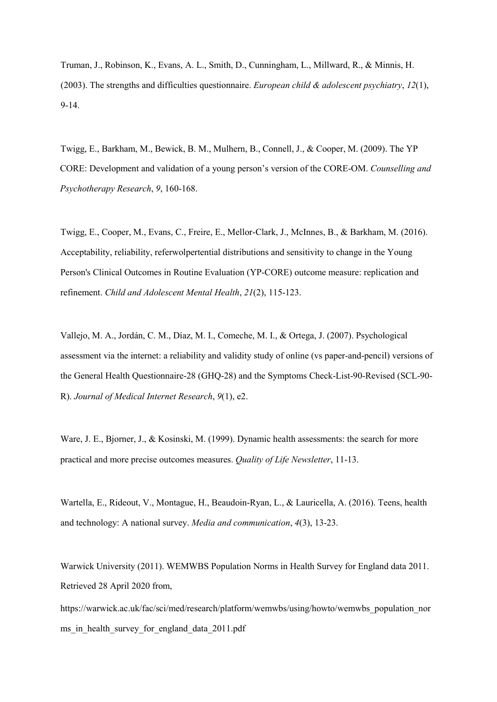Truman, J., Robinson, K., Evans, A. L., Smith, D., Cunningham, L., Millward, R., & Minnis, H. (2003). The strengths and difficulties questionnaire. *European child & adolescent psychiatry*, *12*(1), 9-14.

Twigg, E., Barkham, M., Bewick, B. M., Mulhern, B., Connell, J., & Cooper, M. (2009). The YP CORE: Development and validation of a young person's version of the CORE-OM. *Counselling and Psychotherapy Research*, *9*, 160-168.

Twigg, E., Cooper, M., Evans, C., Freire, E., Mellor‐Clark, J., McInnes, B., & Barkham, M. (2016). Acceptability, reliability, referwolpertential distributions and sensitivity to change in the Young Person's Clinical Outcomes in Routine Evaluation (YP‐CORE) outcome measure: replication and refinement. *Child and Adolescent Mental Health*, *21*(2), 115-123.

Vallejo, M. A., Jordán, C. M., Díaz, M. I., Comeche, M. I., & Ortega, J. (2007). Psychological assessment via the internet: a reliability and validity study of online (vs paper-and-pencil) versions of the General Health Questionnaire-28 (GHQ-28) and the Symptoms Check-List-90-Revised (SCL-90- R). *Journal of Medical Internet Research*, *9*(1), e2.

Ware, J. E., Bjorner, J., & Kosinski, M. (1999). Dynamic health assessments: the search for more practical and more precise outcomes measures. *Quality of Life Newsletter*, 11-13.

Wartella, E., Rideout, V., Montague, H., Beaudoin-Ryan, L., & Lauricella, A. (2016). Teens, health and technology: A national survey. *Media and communication*, *4*(3), 13-23.

Warwick University (2011). WEMWBS Population Norms in Health Survey for England data 2011. Retrieved 28 April 2020 from,

https://warwick.ac.uk/fac/sci/med/research/platform/wemwbs/using/howto/wemwbs\_population\_nor ms in health survey for england data 2011.pdf